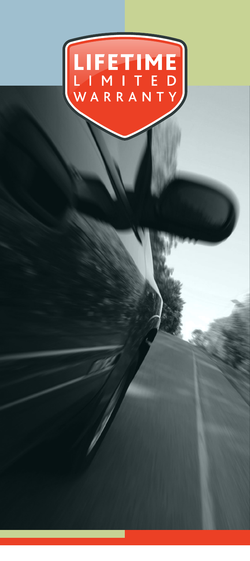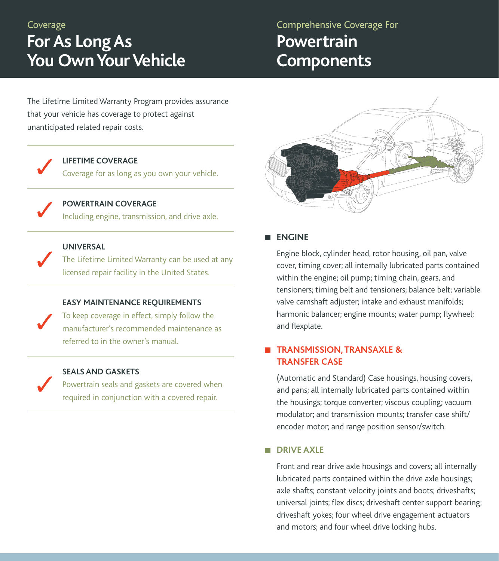Coverage

# **For As Long As You Own Your Vehicle**

## Comprehensive Coverage For **Powertrain Components**

The Lifetime Limited Warranty Program provides assurance that your vehicle has coverage to protect against unanticipated related repair costs.

#### **LIFETIME COVERAGE**

Coverage for as long as you own your vehicle.

**POWERTRAIN COVERAGE** Including engine, transmission, and drive axle.

## **UNIVERSAL**

The Lifetime Limited Warranty can be used at any licensed repair facility in the United States.

## **EASY MAINTENANCE REQUIREMENTS**

To keep coverage in effect, simply follow the manufacturer's recommended maintenance as referred to in the owner's manual.

## **SEALS AND GASKETS**

Powertrain seals and gaskets are covered when required in conjunction with a covered repair.



**ENGINE** 

Engine block, cylinder head, rotor housing, oil pan, valve cover, timing cover; all internally lubricated parts contained within the engine; oil pump; timing chain, gears, and tensioners; timing belt and tensioners; balance belt; variable valve camshaft adjuster; intake and exhaust manifolds; harmonic balancer; engine mounts; water pump; flywheel; and flexplate.

## **TRANSMISSION, TRANSAXLE & TRANSFER CASE**

(Automatic and Standard) Case housings, housing covers, and pans; all internally lubricated parts contained within the housings; torque converter; viscous coupling; vacuum modulator; and transmission mounts; transfer case shift/ encoder motor; and range position sensor/switch.

## **DRIVE AXLE**

Front and rear drive axle housings and covers; all internally lubricated parts contained within the drive axle housings; axle shafts; constant velocity joints and boots; driveshafts; universal joints; flex discs; driveshaft center support bearing; driveshaft yokes; four wheel drive engagement actuators and motors; and four wheel drive locking hubs.